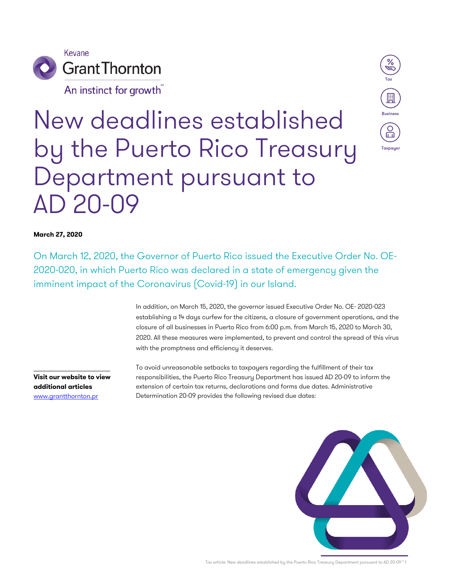

An instinct for growth



# New deadlines established by the Puerto Rico Treasury Department pursuant to AD 20-09

### **March 27, 2020**

On March 12, 2020, the Governor of Puerto Rico issued the Executive Order No. OE-2020-020, in which Puerto Rico was declared in a state of emergency given the imminent impact of the Coronavirus (Covid-19) in our Island.

> In addition, on March 15, 2020, the governor issued Executive Order No. OE- 2020-023 establishing a 14 days curfew for the citizens, a closure of government operations, and the closure of all businesses in Puerto Rico from 6:00 p.m. from March 15, 2020 to March 30, 2020. All these measures were implemented, to prevent and control the spread of this virus with the promptness and efficiency it deserves.

**Visit our website to view additional articles** www.grantthornton.pr

 $\_$ 

To avoid unreasonable setbacks to taxpayers regarding the fulfillment of their tax responsibilities, the Puerto Rico Treasury Department has issued AD 20-09 to inform the extension of certain tax returns, declarations and forms due dates. Administrative Determination 20-09 provides the following revised due dates:



Tax article: New deadlines established by the Puerto Rico Treasury Department pursuant to AD 20-09 ° 1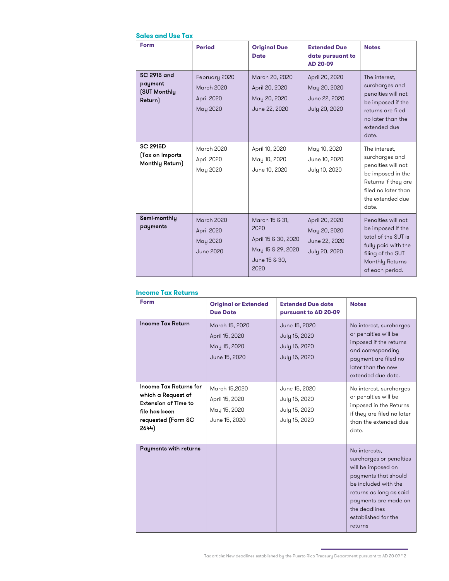# **Sales and Use Tax**

| Form                                                     | <b>Period</b>                                                   | <b>Original Due</b><br><b>Date</b>                                                          | <b>Extended Due</b><br>date pursuant to<br><b>AD 20-09</b>       | <b>Notes</b>                                                                                                                                          |
|----------------------------------------------------------|-----------------------------------------------------------------|---------------------------------------------------------------------------------------------|------------------------------------------------------------------|-------------------------------------------------------------------------------------------------------------------------------------------------------|
| SC 2915 and<br>payment<br><b>(SUT Monthly</b><br>Return) | February 2020<br><b>March 2020</b><br>April 2020<br>May 2020    | March 20, 2020<br>April 20, 2020<br>May 20, 2020<br>June 22, 2020                           | April 20, 2020<br>May 20, 2020<br>June 22, 2020<br>July 20, 2020 | The interest,<br>surcharges and<br>penalties will not<br>be imposed if the<br>returns are filed<br>no later than the<br>extended due<br>date.         |
| <b>SC 2915D</b><br>(Tax on Imports<br>Monthly Return)    | <b>March 2020</b><br>April 2020<br>May 2020                     | April 10, 2020<br>May 10, 2020<br>June 10, 2020                                             | May 10, 2020<br>June 10, 2020<br>July 10, 2020                   | The interest.<br>surcharges and<br>penalties will not<br>be imposed in the<br>Returns if they are<br>filed no later than<br>the extended due<br>date. |
| Semi-monthly<br>payments                                 | <b>March 2020</b><br>April 2020<br>May 2020<br><b>June 2020</b> | March 15 & 31,<br>2020<br>April 15 & 30, 2020<br>May 15 & 29, 2020<br>June 15 & 30,<br>2020 | April 20, 2020<br>May 20, 2020<br>June 22, 2020<br>July 20, 2020 | Penalties will not<br>be imposed If the<br>total of the SUT is<br>fully paid with the<br>filing of the SUT<br>Monthly Returns<br>of each period.      |

#### **Income Tax Returns**

| Form                                                                                                                 | <b>Original or Extended</b><br><b>Due Date</b>                    | <b>Extended Due date</b><br>pursuant to AD 20-09                 | <b>Notes</b>                                                                                                                                                                                                         |
|----------------------------------------------------------------------------------------------------------------------|-------------------------------------------------------------------|------------------------------------------------------------------|----------------------------------------------------------------------------------------------------------------------------------------------------------------------------------------------------------------------|
| <b>Income Tax Return</b>                                                                                             | March 15, 2020<br>April 15, 2020<br>May 15, 2020<br>June 15, 2020 | June 15, 2020<br>July 15, 2020<br>July 15, 2020<br>July 15, 2020 | No interest, surcharges<br>or penalties will be<br>imposed if the returns<br>and corresponding<br>payment are filed no<br>later than the new<br>extended due date.                                                   |
| Income Tax Returns for<br>which a Request of<br>Extension of Time to<br>file has been<br>requested (Form SC<br>2644) | March 15,2020<br>April 15, 2020<br>May 15, 2020<br>June 15, 2020  | June 15, 2020<br>July 15, 2020<br>July 15, 2020<br>July 15, 2020 | No interest, surcharges<br>or penalties will be<br>imposed in the Returns<br>if they are filed no later<br>than the extended due<br>date.                                                                            |
| Payments with returns                                                                                                |                                                                   |                                                                  | No interests,<br>surcharges or penalties<br>will be imposed on<br>payments that should<br>be included with the<br>returns as long as said<br>payments are made on<br>the deadlines<br>established for the<br>returns |

Tax article: New deadlines established by the Puerto Rico Treasury Department pursuant to AD 20-09 ° 2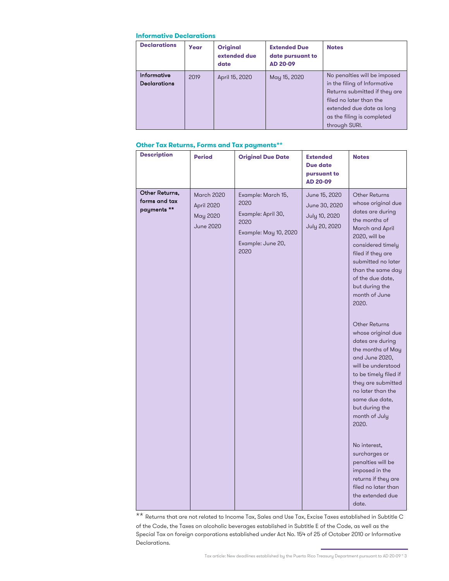#### **Informative Declarations**

| <b>Declarations</b>                | Year | <b>Original</b><br>extended due<br>date | <b>Extended Due</b><br>date pursuant to<br><b>AD 20-09</b> | <b>Notes</b>                                                                                                                                                                                         |
|------------------------------------|------|-----------------------------------------|------------------------------------------------------------|------------------------------------------------------------------------------------------------------------------------------------------------------------------------------------------------------|
| Informative<br><b>Declarations</b> | 2019 | April 15, 2020                          | May 15, 2020                                               | No penalties will be imposed<br>in the filing of Informative<br>Returns submitted if they are<br>filed no later than the<br>extended due date as long<br>as the filing is completed<br>through SURI. |

## **Other Tax Returns, Forms and Tax payments\*\***

| <b>Description</b>                             | raier Tux Returns, Forms und Tux pagments<br><b>Period</b> | <b>Original Due Date</b>                                                                                       | <b>Extended</b><br>Due date<br>pursuant to<br><b>AD 20-09</b>    | <b>Notes</b>                                                                                                                                                                                                                                                                                                                                                                                                                                                                                                                                                                                                                                                                        |
|------------------------------------------------|------------------------------------------------------------|----------------------------------------------------------------------------------------------------------------|------------------------------------------------------------------|-------------------------------------------------------------------------------------------------------------------------------------------------------------------------------------------------------------------------------------------------------------------------------------------------------------------------------------------------------------------------------------------------------------------------------------------------------------------------------------------------------------------------------------------------------------------------------------------------------------------------------------------------------------------------------------|
| Other Returns,<br>forms and tax<br>payments ** | <b>March 2020</b><br>April 2020<br>May 2020<br>June 2020   | Example: March 15,<br>2020<br>Example: April 30,<br>2020<br>Example: May 10, 2020<br>Example: June 20,<br>2020 | June 15, 2020<br>June 30, 2020<br>July 10, 2020<br>July 20, 2020 | <b>Other Returns</b><br>whose original due<br>dates are during<br>the months of<br>March and April<br>2020, will be<br>considered timely<br>filed if they are<br>submitted no later<br>than the same day<br>of the due date,<br>but during the<br>month of June<br>2020.<br><b>Other Returns</b><br>whose original due<br>dates are during<br>the months of May<br>and June 2020,<br>will be understood<br>to be timely filed if<br>they are submitted<br>no later than the<br>same due date,<br>but during the<br>month of July<br>2020.<br>No interest,<br>surcharges or<br>penalties will be<br>imposed in the<br>returns if they are<br>filed no later than<br>the extended due |
|                                                |                                                            |                                                                                                                |                                                                  | date.                                                                                                                                                                                                                                                                                                                                                                                                                                                                                                                                                                                                                                                                               |

\*\* Returns that are not related to Income Tax, Sales and Use Tax, Excise Taxes established in Subtitle C of the Code, the Taxes on alcoholic beverages established in Subtitle E of the Code, as well as the Special Tax on foreign corporations established under Act No. 154 of 25 of October 2010 or Informative Declarations.

Tax article: New deadlines established by the Puerto Rico Treasury Department pursuant to AD 20-09 ° 3